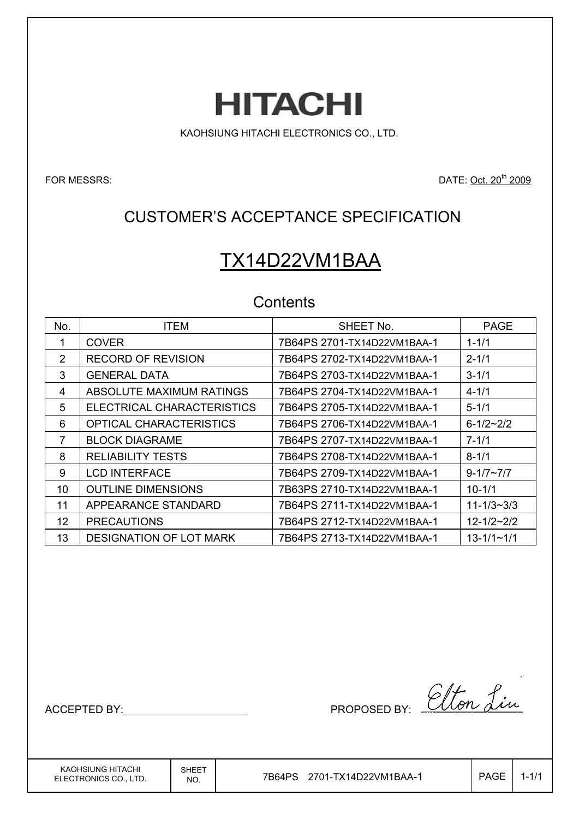**HITACHI** 

KAOHSIUNG HITACHI ELECTRONICS CO., LTD.

FOR MESSRS: DATE: Oct. 20<sup>th</sup> 2009

## CUSTOMER'S ACCEPTANCE SPECIFICATION

# TX14D22VM1BAA

## **Contents**

| No.             | <b>ITEM</b>                    | SHEET No.                   | <b>PAGE</b>      |
|-----------------|--------------------------------|-----------------------------|------------------|
|                 | <b>COVER</b>                   | 7B64PS 2701-TX14D22VM1BAA-1 | $1 - 1/1$        |
| 2               | <b>RECORD OF REVISION</b>      | 7B64PS 2702-TX14D22VM1BAA-1 | $2 - 1/1$        |
| 3               | <b>GENERAL DATA</b>            | 7B64PS 2703-TX14D22VM1BAA-1 | $3 - 1/1$        |
| 4               | ABSOLUTE MAXIMUM RATINGS       | 7B64PS 2704-TX14D22VM1BAA-1 | $4 - 1/1$        |
| 5               | ELECTRICAL CHARACTERISTICS     | 7B64PS 2705-TX14D22VM1BAA-1 | $5 - 1/1$        |
| 6               | <b>OPTICAL CHARACTERISTICS</b> | 7B64PS 2706-TX14D22VM1BAA-1 | $6 - 1/2 - 2/2$  |
| 7               | <b>BLOCK DIAGRAME</b>          | 7B64PS 2707-TX14D22VM1BAA-1 | $7 - 1/1$        |
| 8               | <b>RELIABILITY TESTS</b>       | 7B64PS 2708-TX14D22VM1BAA-1 | $8 - 1/1$        |
| 9               | <b>LCD INTERFACE</b>           | 7B64PS 2709-TX14D22VM1BAA-1 | $9 - 1/7 - 7/7$  |
| 10 <sup>1</sup> | <b>OUTLINE DIMENSIONS</b>      | 7B63PS 2710-TX14D22VM1BAA-1 | $10 - 1/1$       |
| 11              | APPEARANCE STANDARD            | 7B64PS 2711-TX14D22VM1BAA-1 | $11 - 1/3 - 3/3$ |
| 12              | <b>PRECAUTIONS</b>             | 7B64PS 2712-TX14D22VM1BAA-1 | $12 - 1/2 - 2/2$ |
| 13              | <b>DESIGNATION OF LOT MARK</b> | 7B64PS 2713-TX14D22VM1BAA-1 | $13 - 1/1 - 1/1$ |

ACCEPTED BY: MODEL BY: Elton Lin

KAOHSIUNG HITACHI ELECTRONICS CO., LTD. SHEET

 $\overline{N_{\rm NO.}}$  7B64PS 2701-TX14D22VM1BAA-1  $\overline{N_{\rm OO.}}$  PAGE 1-1/1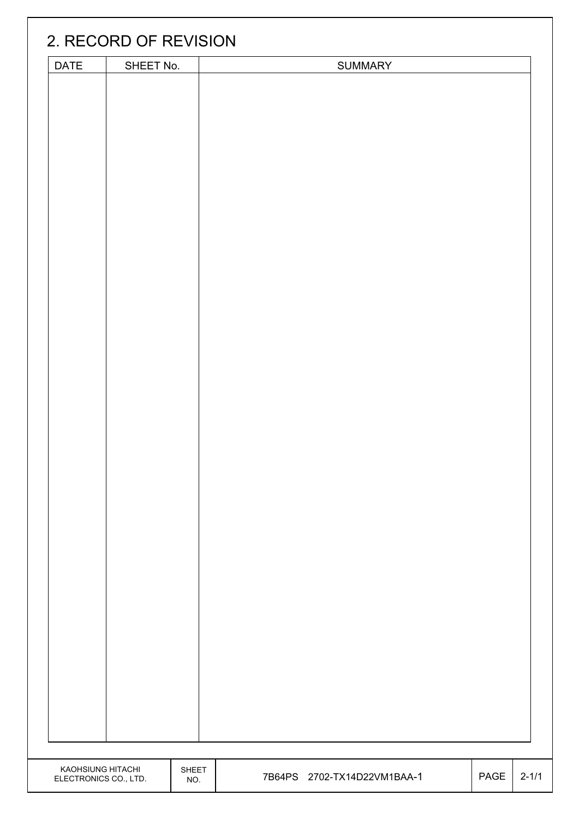|                       | 2. RECORD OF REVISION |       |                             |      |           |
|-----------------------|-----------------------|-------|-----------------------------|------|-----------|
| DATE                  | SHEET No.             |       | <b>SUMMARY</b>              |      |           |
|                       |                       |       |                             |      |           |
|                       |                       |       |                             |      |           |
|                       |                       |       |                             |      |           |
|                       |                       |       |                             |      |           |
|                       |                       |       |                             |      |           |
|                       |                       |       |                             |      |           |
|                       |                       |       |                             |      |           |
|                       |                       |       |                             |      |           |
|                       |                       |       |                             |      |           |
|                       |                       |       |                             |      |           |
|                       |                       |       |                             |      |           |
|                       |                       |       |                             |      |           |
|                       |                       |       |                             |      |           |
|                       |                       |       |                             |      |           |
|                       |                       |       |                             |      |           |
|                       |                       |       |                             |      |           |
|                       |                       |       |                             |      |           |
|                       |                       |       |                             |      |           |
|                       |                       |       |                             |      |           |
|                       |                       |       |                             |      |           |
|                       |                       |       |                             |      |           |
|                       |                       |       |                             |      |           |
|                       |                       |       |                             |      |           |
|                       |                       |       |                             |      |           |
|                       |                       |       |                             |      |           |
|                       |                       |       |                             |      |           |
|                       |                       |       |                             |      |           |
|                       |                       |       |                             |      |           |
|                       |                       |       |                             |      |           |
|                       |                       |       |                             |      |           |
|                       |                       |       |                             |      |           |
|                       |                       |       |                             |      |           |
|                       |                       |       |                             |      |           |
|                       |                       |       |                             |      |           |
|                       |                       |       |                             |      |           |
|                       |                       |       |                             |      |           |
|                       |                       |       |                             |      |           |
|                       |                       |       |                             |      |           |
|                       |                       |       |                             |      |           |
|                       |                       |       |                             |      |           |
| KAOHSIUNG HITACHI     |                       | SHEET |                             |      |           |
| ELECTRONICS CO., LTD. |                       | NO.   | 7B64PS 2702-TX14D22VM1BAA-1 | PAGE | $2 - 1/1$ |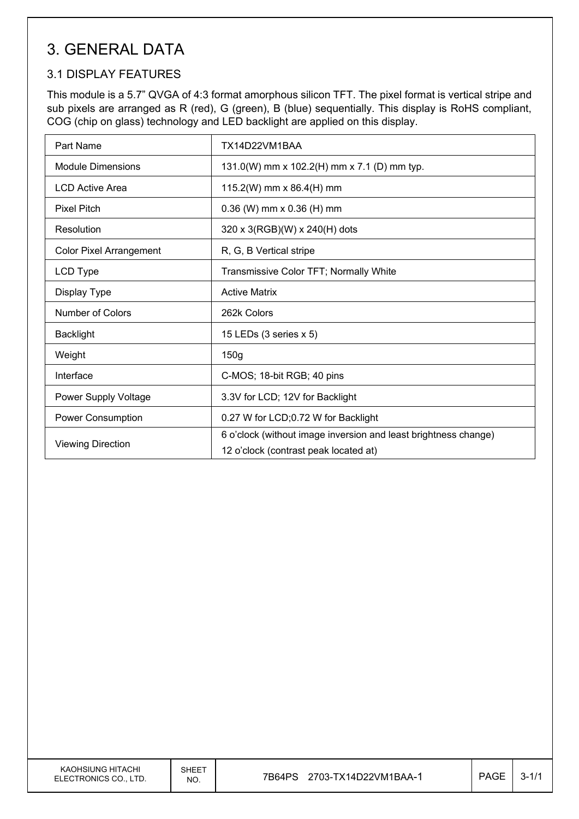## 3. GENERAL DATA

### 3.1 DISPLAY FEATURES

This module is a 5.7" QVGA of 4:3 format amorphous silicon TFT. The pixel format is vertical stripe and sub pixels are arranged as R (red), G (green), B (blue) sequentially. This display is RoHS compliant, COG (chip on glass) technology and LED backlight are applied on this display.

| Part Name                      | TX14D22VM1BAA                                                                                            |
|--------------------------------|----------------------------------------------------------------------------------------------------------|
| <b>Module Dimensions</b>       | 131.0(W) mm x 102.2(H) mm x 7.1 (D) mm typ.                                                              |
| LCD Active Area                | 115.2(W) mm x 86.4(H) mm                                                                                 |
| <b>Pixel Pitch</b>             | $0.36$ (W) mm x $0.36$ (H) mm                                                                            |
| Resolution                     | 320 x 3(RGB)(W) x 240(H) dots                                                                            |
| <b>Color Pixel Arrangement</b> | R, G, B Vertical stripe                                                                                  |
| LCD Type                       | Transmissive Color TFT; Normally White                                                                   |
| Display Type                   | <b>Active Matrix</b>                                                                                     |
| Number of Colors               | 262k Colors                                                                                              |
| <b>Backlight</b>               | 15 LEDs (3 series x 5)                                                                                   |
| Weight                         | 150g                                                                                                     |
| Interface                      | C-MOS; 18-bit RGB; 40 pins                                                                               |
| Power Supply Voltage           | 3.3V for LCD; 12V for Backlight                                                                          |
| Power Consumption              | 0.27 W for LCD;0.72 W for Backlight                                                                      |
| <b>Viewing Direction</b>       | 6 o'clock (without image inversion and least brightness change)<br>12 o'clock (contrast peak located at) |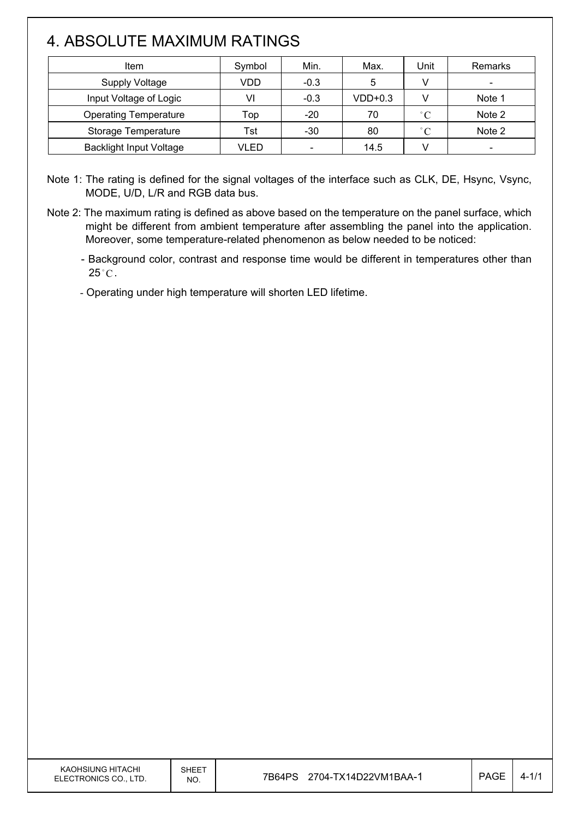## 4. ABSOLUTE MAXIMUM RATINGS

 $\overline{\phantom{a}}$ 

| Item                           | Symbol | Min.                     | Max.      | Unit              | Remarks                  |
|--------------------------------|--------|--------------------------|-----------|-------------------|--------------------------|
| <b>Supply Voltage</b>          | VDD    | $-0.3$                   | 5         |                   |                          |
| Input Voltage of Logic         | VI     | $-0.3$                   | $VDD+0.3$ |                   | Note 1                   |
| <b>Operating Temperature</b>   | Top    | $-20$                    | 70        | $^{\circ}$ C      | Note 2                   |
| Storage Temperature            | Tst    | $-30$                    | 80        | $^{\circ}$ $\cap$ | Note 2                   |
| <b>Backlight Input Voltage</b> | VLED   | $\overline{\phantom{a}}$ | 14.5      |                   | $\overline{\phantom{0}}$ |

Note 1: The rating is defined for the signal voltages of the interface such as CLK, DE, Hsync, Vsync, MODE, U/D, L/R and RGB data bus.

Note 2: The maximum rating is defined as above based on the temperature on the panel surface, which might be different from ambient temperature after assembling the panel into the application. Moreover, some temperature-related phenomenon as below needed to be noticed:

- Background color, contrast and response time would be different in temperatures other than  $25^{\circ}$ C.

- Operating under high temperature will shorten LED lifetime.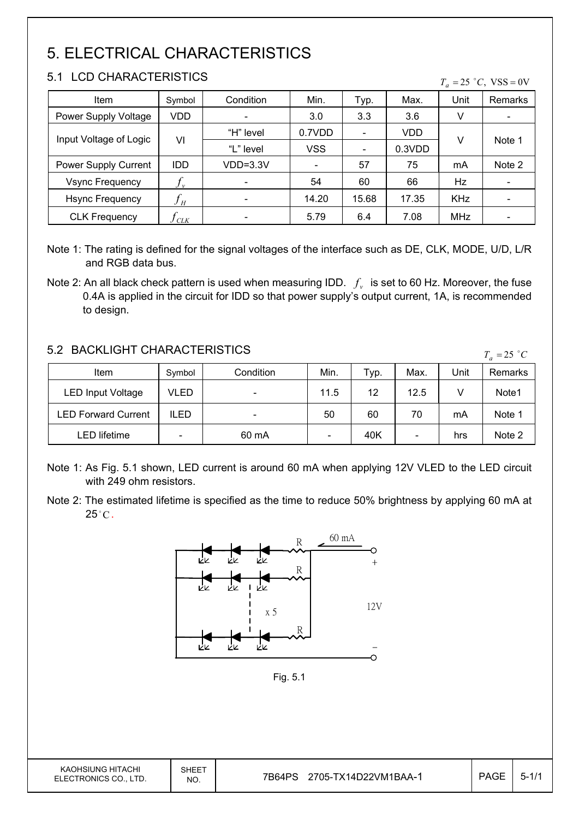# 5. ELECTRICAL CHARACTERISTICS

### 5.1 LCD CHARACTERISTICS

 $\mathsf{I}$ 

| LUD UNARAUTERIOTIUS<br>$T_a = 25$ °C, VSS = 0V |            |           |            |                          |        |            |         |  |
|------------------------------------------------|------------|-----------|------------|--------------------------|--------|------------|---------|--|
| Item                                           | Symbol     | Condition | Min.       | Typ.                     | Max.   | Unit       | Remarks |  |
| Power Supply Voltage                           | VDD.       |           | 3.0        | 3.3                      | 3.6    | V          |         |  |
|                                                |            | "H" level | 0.7VDD     | $\blacksquare$           | VDD    |            |         |  |
| Input Voltage of Logic                         | VI         | "L" level | <b>VSS</b> | $\overline{\phantom{a}}$ | 0.3VDD | v          | Note 1  |  |
| Power Supply Current                           | <b>IDD</b> | VDD=3.3V  |            | 57                       | 75     | mA         | Note 2  |  |
| <b>Vsync Frequency</b>                         |            |           | 54         | 60                       | 66     | Hz         |         |  |
| <b>Hsync Frequency</b>                         | $f_H$      |           | 14.20      | 15.68                    | 17.35  | <b>KHz</b> |         |  |
| <b>CLK Frequency</b>                           | J CLK      |           | 5.79       | 6.4                      | 7.08   | <b>MHz</b> |         |  |

Note 1: The rating is defined for the signal voltages of the interface such as DE, CLK, MODE, U/D, L/R and RGB data bus.

### 5.2 BACKLIGHT CHARACTERISTICS

| 9.2 DAUNLIUM UMARAUTERISTIUS |             |           |      |      |                          |      |         |
|------------------------------|-------------|-----------|------|------|--------------------------|------|---------|
| Item                         | Symbol      | Condition | Min. | ⊤ур. | Max.                     | Unit | Remarks |
| <b>LED Input Voltage</b>     | VLED        |           | 11.5 | 12   | 12.5                     |      | Note1   |
| <b>LED Forward Current</b>   | <b>ILED</b> |           | 50   | 60   | 70                       | mA   | Note 1  |
| LED lifetime                 |             | 60 mA     |      | 40K  | $\overline{\phantom{a}}$ | hrs  | Note 2  |

- Note 1: As Fig. 5.1 shown, LED current is around 60 mA when applying 12V VLED to the LED circuit with 249 ohm resistors.
- Note 2: The estimated lifetime is specified as the time to reduce 50% brightness by applying 60 mA at  $25^{\circ}$ C.



Note 2: An all black check pattern is used when measuring IDD.  $f_v$  is set to 60 Hz. Moreover, the fuse 0.4A is applied in the circuit for IDD so that power supply's output current, 1A, is recommended to design.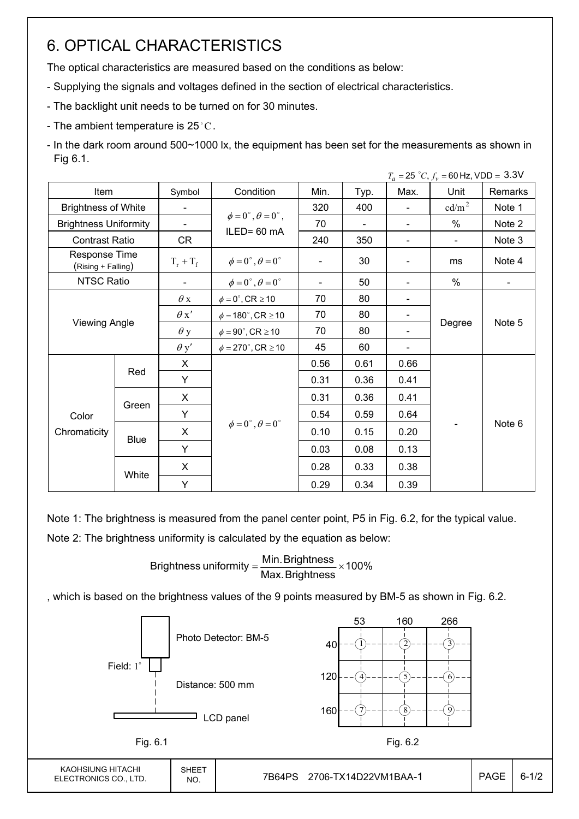## 6. OPTICAL CHARACTERISTICS

The optical characteristics are measured based on the conditions as below:

- Supplying the signals and voltages defined in the section of electrical characteristics.
- The backlight unit needs to be turned on for 30 minutes.
- The ambient temperature is 25 $^{\circ}$ C.
- In the dark room around 500~1000 lx, the equipment has been set for the measurements as shown in Fig 6.1.

|                                     |                      |                          |                                          |      |                |      | $T_a = 25 °C$ , $f_v = 60$ Hz, VDD = 3.3V |         |
|-------------------------------------|----------------------|--------------------------|------------------------------------------|------|----------------|------|-------------------------------------------|---------|
| Item                                |                      | Symbol                   | Condition                                | Min. | Typ.           | Max. | Unit                                      | Remarks |
| <b>Brightness of White</b>          |                      | $\blacksquare$           |                                          | 320  | 400            |      | cd/m <sup>2</sup>                         | Note 1  |
| <b>Brightness Uniformity</b>        |                      | $\overline{\phantom{a}}$ | $\phi = 0^{\circ}, \theta = 0^{\circ}$ , | 70   | $\blacksquare$ |      | $\%$                                      | Note 2  |
| <b>Contrast Ratio</b>               |                      | CR                       | ILED= 60 mA                              | 240  | 350            |      | $\blacksquare$                            | Note 3  |
| Response Time<br>(Rising + Falling) |                      | $T_r + T_f$              | $\phi = 0^{\circ}, \theta = 0^{\circ}$   |      | 30             |      | ms                                        | Note 4  |
| NTSC Ratio                          |                      |                          | $\phi = 0^{\circ}, \theta = 0^{\circ}$   |      | 50             |      | %                                         |         |
|                                     |                      | $\theta$ x               | $\phi = 0^\circ$ , CR $\geq 10$          | 70   | 80             |      |                                           |         |
|                                     |                      | $\theta x'$              | $\phi = 180^\circ$ , CR $\geq 10$        | 70   | 80             |      |                                           |         |
|                                     | <b>Viewing Angle</b> |                          | $\phi = 90^{\circ}$ , CR $\geq 10$       | 70   | 80             |      | Degree                                    | Note 5  |
|                                     |                      | $\theta$ y'              | $\phi = 270^\circ$ , CR $\geq 10$        | 45   | 60             |      |                                           |         |
|                                     |                      | X                        |                                          | 0.56 | 0.61           | 0.66 |                                           |         |
|                                     | Red                  | Y                        |                                          | 0.31 | 0.36           | 0.41 |                                           |         |
|                                     |                      | X                        |                                          | 0.31 | 0.36           | 0.41 |                                           |         |
| Color                               | Green                | Y                        |                                          | 0.54 | 0.59           | 0.64 |                                           |         |
| Chromaticity                        |                      | X                        | $\phi = 0^{\circ}, \theta = 0^{\circ}$   | 0.10 | 0.15           | 0.20 |                                           | Note 6  |
|                                     | Blue                 | Y                        |                                          | 0.03 | 0.08           | 0.13 |                                           |         |
|                                     |                      | X                        |                                          | 0.28 | 0.33           | 0.38 |                                           |         |
|                                     | White                | Y                        |                                          | 0.29 | 0.34           | 0.39 |                                           |         |

Note 1: The brightness is measured from the panel center point, P5 in Fig. 6.2, for the typical value.

Note 2: The brightness uniformity is calculated by the equation as below:

Brightness uniformity  $=\frac{1}{100}$  and  $\frac{1}{100}$  x 100% Max.Brightness Brightness uniformity =  $\frac{\text{Min.~Brightness}}{\text{max.~S}}$ 

, which is based on the brightness values of the 9 points measured by BM-5 as shown in Fig. 6.2.

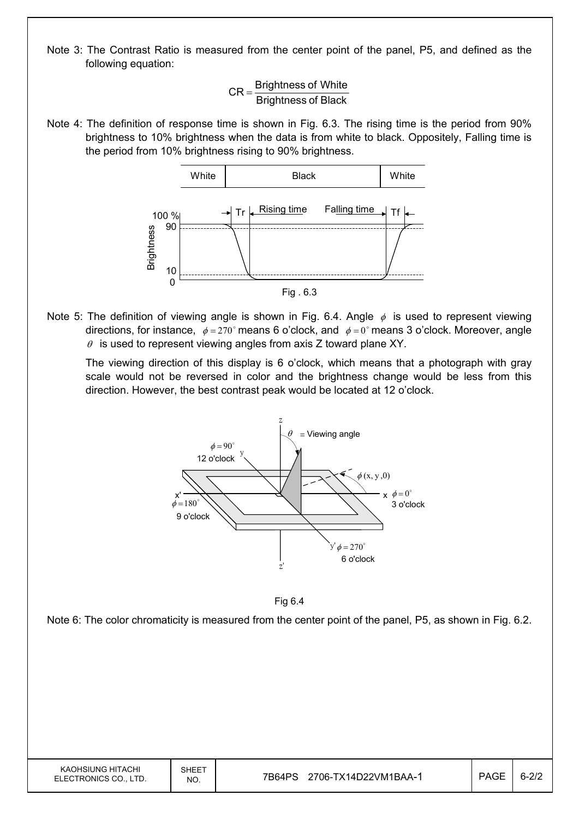Note 3: The Contrast Ratio is measured from the center point of the panel, P5, and defined as the following equation:

> Brightness of Black  $CR =$ Brightness of White

Note 4: The definition of response time is shown in Fig. 6.3. The rising time is the period from 90% brightness to 10% brightness when the data is from white to black. Oppositely, Falling time is the period from 10% brightness rising to 90% brightness.



Note 5: The definition of viewing angle is shown in Fig. 6.4. Angle  $\phi$  is used to represent viewing directions, for instance,  $\phi = 270^\circ$  means 6 o'clock, and  $\phi = 0^\circ$  means 3 o'clock. Moreover, angle  $\theta$  is used to represent viewing angles from axis Z toward plane XY.

 The viewing direction of this display is 6 o'clock, which means that a photograph with gray scale would not be reversed in color and the brightness change would be less from this direction. However, the best contrast peak would be located at 12 o'clock.





Note 6: The color chromaticity is measured from the center point of the panel, P5, as shown in Fig. 6.2.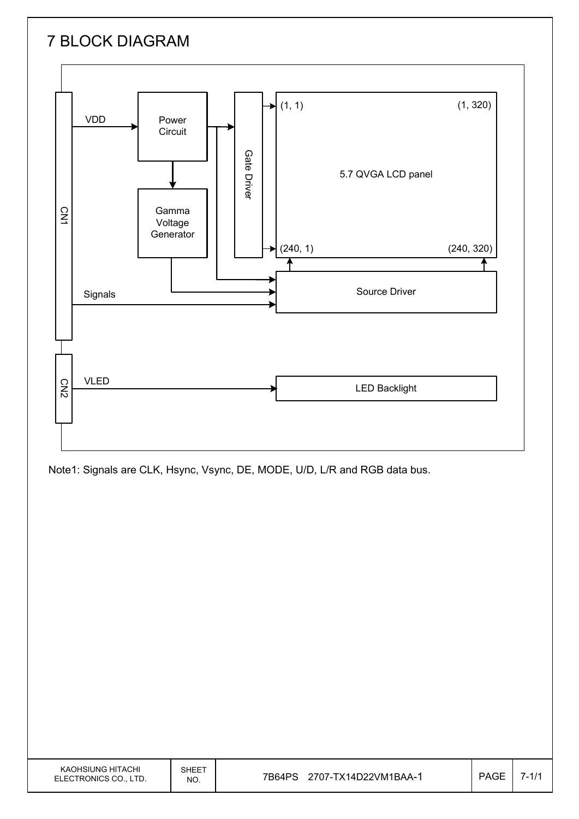# 7 BLOCK DIAGRAM



Note1: Signals are CLK, Hsync, Vsync, DE, MODE, U/D, L/R and RGB data bus.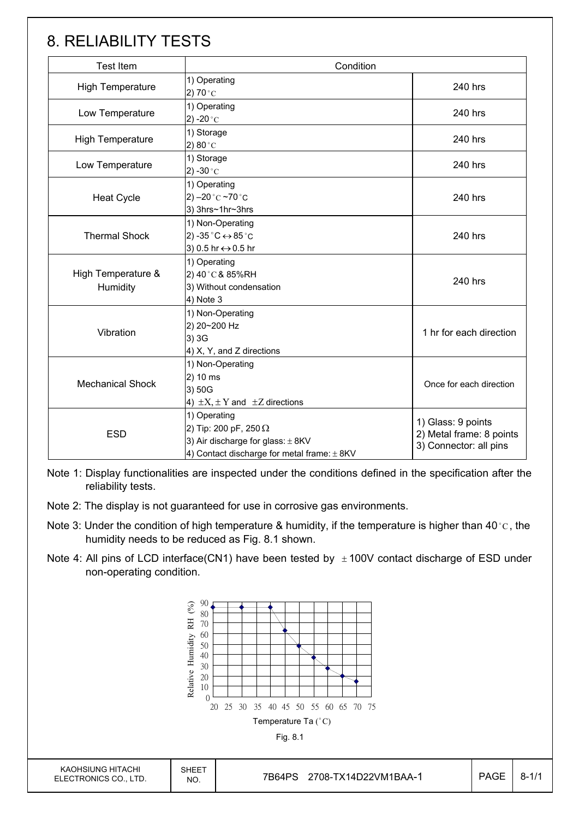## 8. RELIABILITY TESTS

| <b>Test Item</b>               | Condition                                                                                                                                |                                                                          |
|--------------------------------|------------------------------------------------------------------------------------------------------------------------------------------|--------------------------------------------------------------------------|
| <b>High Temperature</b>        | 1) Operating<br>2) 70 $^{\circ}$ C                                                                                                       | 240 hrs                                                                  |
| Low Temperature                | 1) Operating<br>2) -20 $^{\circ}$ C                                                                                                      | 240 hrs                                                                  |
| <b>High Temperature</b>        | 1) Storage<br>2) $80^{\circ}$ C                                                                                                          | 240 hrs                                                                  |
| Low Temperature                | 1) Storage<br>2) -30 $^{\circ}$ C                                                                                                        | 240 hrs                                                                  |
| <b>Heat Cycle</b>              | 1) Operating<br>2) $-20$ °C $-70$ °C<br>3) 3hrs~1hr~3hrs                                                                                 | 240 hrs                                                                  |
| <b>Thermal Shock</b>           | 1) Non-Operating<br>2) -35 $^{\circ}$ C $\leftrightarrow$ 85 $^{\circ}$ C<br>3) 0.5 hr ↔ 0.5 hr                                          | 240 hrs                                                                  |
| High Temperature &<br>Humidity | 1) Operating<br>2) 40°C & 85%RH<br>3) Without condensation<br>4) Note 3                                                                  | 240 hrs                                                                  |
| Vibration                      | 1) Non-Operating<br>2) 20~200 Hz<br>3) 3G<br>4) X, Y, and Z directions                                                                   | 1 hr for each direction                                                  |
| <b>Mechanical Shock</b>        | 1) Non-Operating<br>2) 10 ms<br>3) 50G<br>4) $\pm X$ , $\pm Y$ and $\pm Z$ directions                                                    |                                                                          |
| <b>ESD</b>                     | 1) Operating<br>2) Tip: 200 pF, 250 $\Omega$<br>3) Air discharge for glass: $\pm$ 8KV<br>4) Contact discharge for metal frame: $\pm$ 8KV | 1) Glass: 9 points<br>2) Metal frame: 8 points<br>3) Connector: all pins |

Note 1: Display functionalities are inspected under the conditions defined in the specification after the reliability tests.

- Note 2: The display is not guaranteed for use in corrosive gas environments.
- Note 3: Under the condition of high temperature & humidity, if the temperature is higher than 40 °C, the humidity needs to be reduced as Fig. 8.1 shown.
- Note 4: All pins of LCD interface(CN1) have been tested by  $\pm$  100V contact discharge of ESD under non-operating condition.

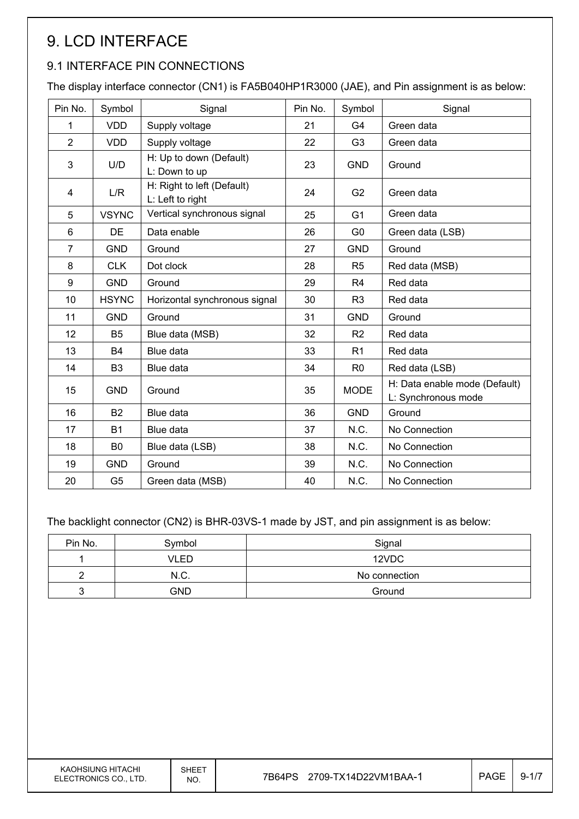# 9. LCD INTERFACE

## 9.1 INTERFACE PIN CONNECTIONS

The display interface connector (CN1) is FA5B040HP1R3000 (JAE), and Pin assignment is as below:

| Pin No.        | Symbol         | Signal                                         | Pin No. | Symbol         | Signal                                               |
|----------------|----------------|------------------------------------------------|---------|----------------|------------------------------------------------------|
| 1              | <b>VDD</b>     | Supply voltage                                 | 21      | G <sub>4</sub> | Green data                                           |
| $\overline{2}$ | <b>VDD</b>     | Supply voltage                                 | 22      | G <sub>3</sub> | Green data                                           |
| 3              | U/D            | H: Up to down (Default)<br>L: Down to up       | 23      | <b>GND</b>     | Ground                                               |
| 4              | L/R            | H: Right to left (Default)<br>L: Left to right | 24      | G <sub>2</sub> | Green data                                           |
| 5              | <b>VSYNC</b>   | Vertical synchronous signal                    | 25      | G <sub>1</sub> | Green data                                           |
| 6              | DE             | Data enable                                    | 26      | G <sub>0</sub> | Green data (LSB)                                     |
| $\overline{7}$ | <b>GND</b>     | Ground                                         | 27      | <b>GND</b>     | Ground                                               |
| 8              | <b>CLK</b>     | Dot clock                                      | 28      | R <sub>5</sub> | Red data (MSB)                                       |
| 9              | <b>GND</b>     | Ground                                         | 29      | R <sub>4</sub> | Red data                                             |
| 10             | <b>HSYNC</b>   | Horizontal synchronous signal                  | 30      | R <sub>3</sub> | Red data                                             |
| 11             | <b>GND</b>     | Ground                                         | 31      | <b>GND</b>     | Ground                                               |
| 12             | B <sub>5</sub> | Blue data (MSB)                                | 32      | R <sub>2</sub> | Red data                                             |
| 13             | <b>B4</b>      | Blue data                                      | 33      | R <sub>1</sub> | Red data                                             |
| 14             | B <sub>3</sub> | Blue data                                      | 34      | R <sub>0</sub> | Red data (LSB)                                       |
| 15             | <b>GND</b>     | Ground                                         | 35      | <b>MODE</b>    | H: Data enable mode (Default)<br>L: Synchronous mode |
| 16             | <b>B2</b>      | Blue data                                      | 36      | <b>GND</b>     | Ground                                               |
| 17             | <b>B1</b>      | Blue data                                      | 37      | N.C.           | No Connection                                        |
| 18             | B <sub>0</sub> | Blue data (LSB)                                | 38      | N.C.           | No Connection                                        |
| 19             | <b>GND</b>     | Ground                                         | 39      | N.C.           | No Connection                                        |
| 20             | G <sub>5</sub> | Green data (MSB)                               | 40      | N.C.           | No Connection                                        |

The backlight connector (CN2) is BHR-03VS-1 made by JST, and pin assignment is as below:

| Pin No. | Symbol                | Signal |  |  |
|---------|-----------------------|--------|--|--|
|         | VLED                  | 12VDC  |  |  |
|         | N.C.<br>No connection |        |  |  |
|         | <b>GND</b>            | Ground |  |  |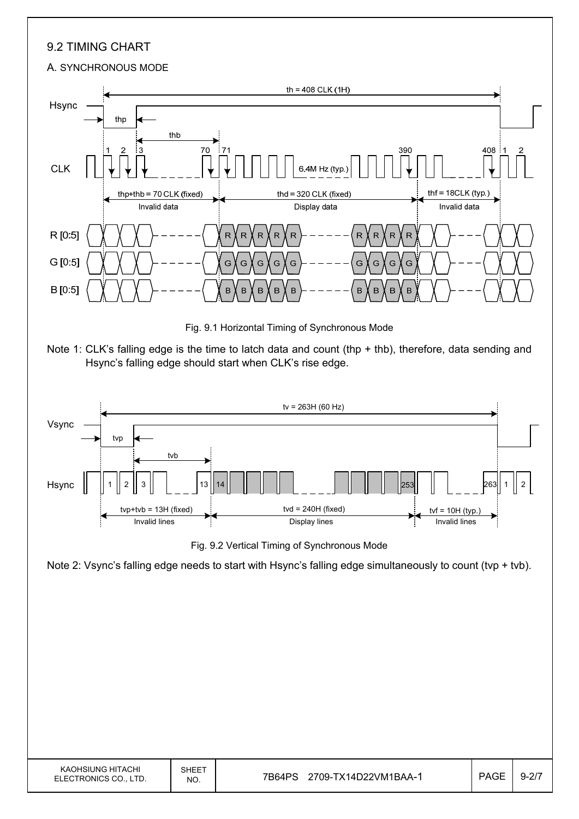### 9.2 TIMING CHART

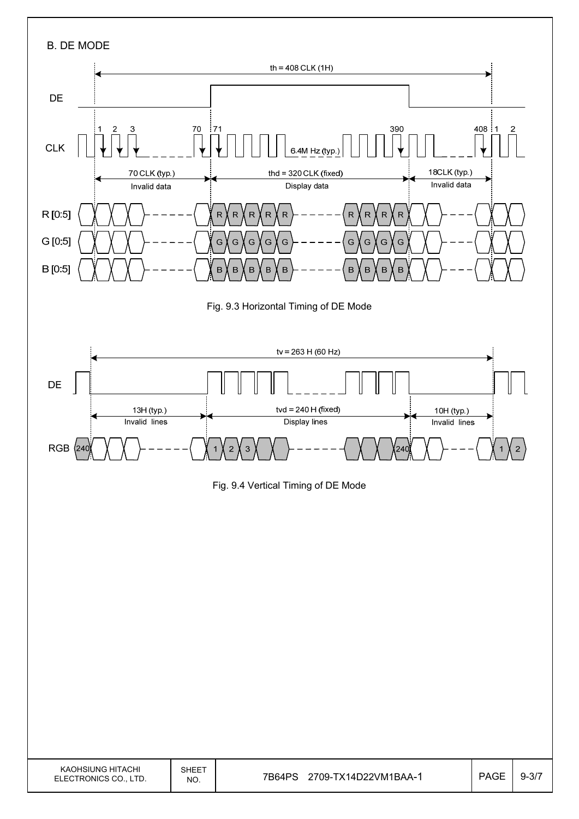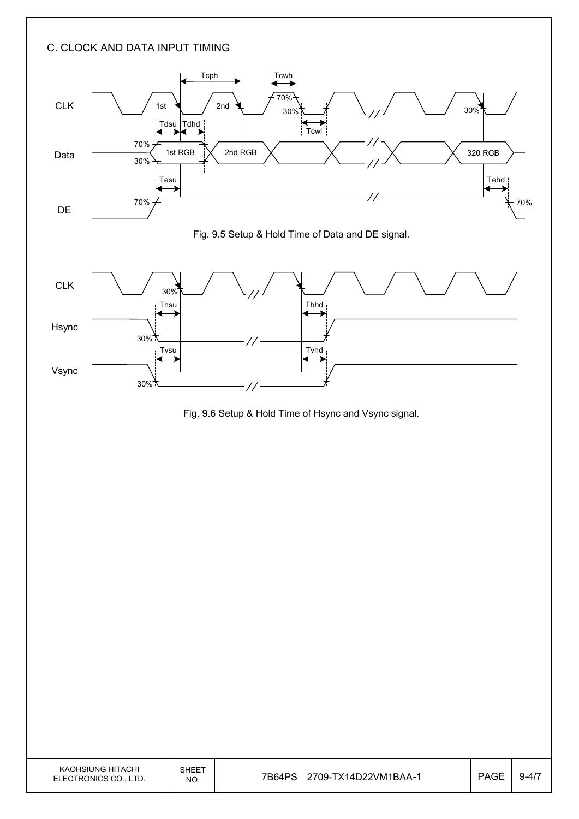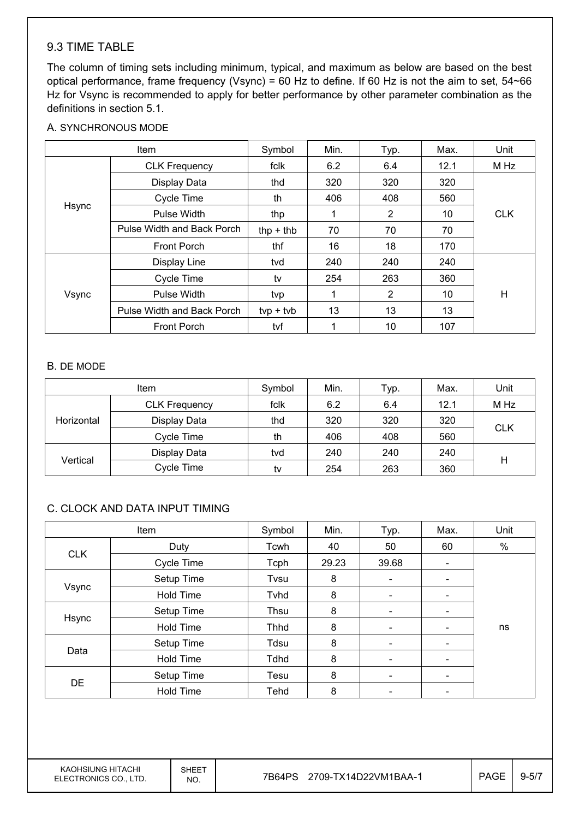### 9.3 TIME TABLE

The column of timing sets including minimum, typical, and maximum as below are based on the best optical performance, frame frequency (Vsync) = 60 Hz to define. If 60 Hz is not the aim to set, 54~66 Hz for Vsync is recommended to apply for better performance by other parameter combination as the definitions in section 5.1.

#### A. SYNCHRONOUS MODE

| Item  |                            | Symbol      | Min. | Typ.           | Max. | Unit       |
|-------|----------------------------|-------------|------|----------------|------|------------|
|       | <b>CLK Frequency</b>       | fclk        | 6.2  | 6.4            | 12.1 | M Hz       |
|       | Display Data               | thd         | 320  | 320            | 320  |            |
|       | Cycle Time                 | th          | 406  | 408            | 560  |            |
| Hsync | Pulse Width                | thp         | 1    | $\overline{2}$ | 10   | <b>CLK</b> |
|       | Pulse Width and Back Porch | $thp + thb$ | 70   | 70             | 70   |            |
|       | <b>Front Porch</b>         | thf         | 16   | 18             | 170  |            |
|       | Display Line               | tvd         | 240  | 240            | 240  |            |
|       | Cycle Time                 | tv          | 254  | 263            | 360  |            |
| Vsync | Pulse Width                | tvp         |      | $\overline{2}$ | 10   | H          |
|       | Pulse Width and Back Porch | $typ + tvb$ | 13   | 13             | 13   |            |
|       | <b>Front Porch</b>         | tvf         |      | 10             | 107  |            |

#### B. DE MODE

|            | <b>Item</b>          | Symbol | Min. | Typ. | Max. | Unit       |  |
|------------|----------------------|--------|------|------|------|------------|--|
| Horizontal | <b>CLK Frequency</b> | fclk   | 6.2  | 6.4  | 12.1 | M Hz       |  |
|            | Display Data         | thd    | 320  | 320  | 320  | <b>CLK</b> |  |
|            | Cycle Time           | th     | 406  | 408  | 560  |            |  |
| Vertical   | Display Data         | tvd    | 240  | 240  | 240  |            |  |
|            | Cycle Time           | tv     | 254  | 263  | 360  | Н          |  |

#### C. CLOCK AND DATA INPUT TIMING

| Item       |                  | Symbol      | Min.  | Typ.                     | Max.                         | Unit |
|------------|------------------|-------------|-------|--------------------------|------------------------------|------|
|            | Duty             | Tcwh        | 40    | 50                       | 60                           | %    |
| <b>CLK</b> | Cycle Time       | Tcph        | 29.23 | 39.68                    | $\overline{\phantom{a}}$     |      |
|            | Setup Time       | Tvsu        | 8     | $\overline{\phantom{a}}$ |                              |      |
| Vsync      | <b>Hold Time</b> | Tyhd        | 8     | $\overline{\phantom{a}}$ | $\overline{\phantom{0}}$     |      |
| Hsync      | Setup Time       | Thsu        | 8     | $\overline{\phantom{a}}$ | $\qquad \qquad \blacksquare$ |      |
|            | <b>Hold Time</b> | <b>Thhd</b> | 8     | $\overline{\phantom{a}}$ | -                            | ns   |
|            | Setup Time       | Tdsu        | 8     |                          |                              |      |
| Data       | <b>Hold Time</b> | Tdhd        | 8     | $\overline{\phantom{a}}$ | $\qquad \qquad \blacksquare$ |      |
|            | Setup Time       | Tesu        | 8     | $\overline{\phantom{a}}$ | $\overline{\phantom{0}}$     |      |
| <b>DE</b>  | <b>Hold Time</b> | Tehd        | 8     |                          |                              |      |

KAOHSIUNG HITACHI ELECTRONICS CO., LTD.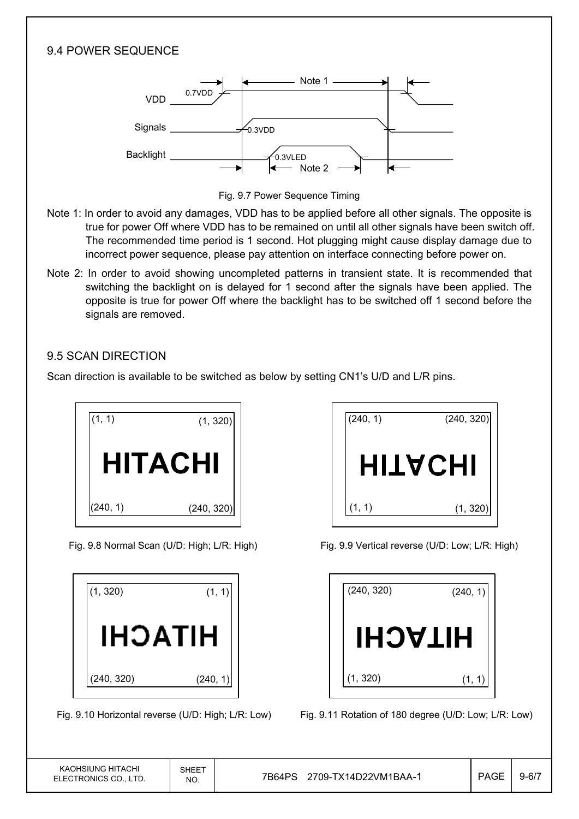### 9.4 POWER SEQUENCE

![](_page_14_Figure_1.jpeg)

Fig. 9.7 Power Sequence Timing

- Note 1: In order to avoid any damages, VDD has to be applied before all other signals. The opposite is true for power Off where VDD has to be remained on until all other signals have been switch off. The recommended time period is 1 second. Hot plugging might cause display damage due to incorrect power sequence, please pay attention on interface connecting before power on.
- Note 2: In order to avoid showing uncompleted patterns in transient state. It is recommended that switching the backlight on is delayed for 1 second after the signals have been applied. The opposite is true for power Off where the backlight has to be switched off 1 second before the signals are removed.

### 9.5 SCAN DIRECTION

Scan direction is available to be switched as below by setting CN1's U/D and L/R pins.

![](_page_14_Picture_7.jpeg)

| (1, 320)   | (1,      |
|------------|----------|
| HITACHI    |          |
| (240, 320) | (240, 1) |

![](_page_14_Picture_11.jpeg)

Fig. 9.8 Normal Scan (U/D: High; L/R: High) Fig. 9.9 Vertical reverse (U/D: Low; L/R: High)

| (240, 320)     | (240, 1) |
|----------------|----------|
| <b>HITACHI</b> |          |
| (1, 320)       | (1, 1)   |

Fig. 9.10 Horizontal reverse (U/D: High; L/R: Low) Fig. 9.11 Rotation of 180 degree (U/D: Low; L/R: Low)

| KAOHSIUNG HITACHI     |
|-----------------------|
| ELECTRONICS CO., LTD. |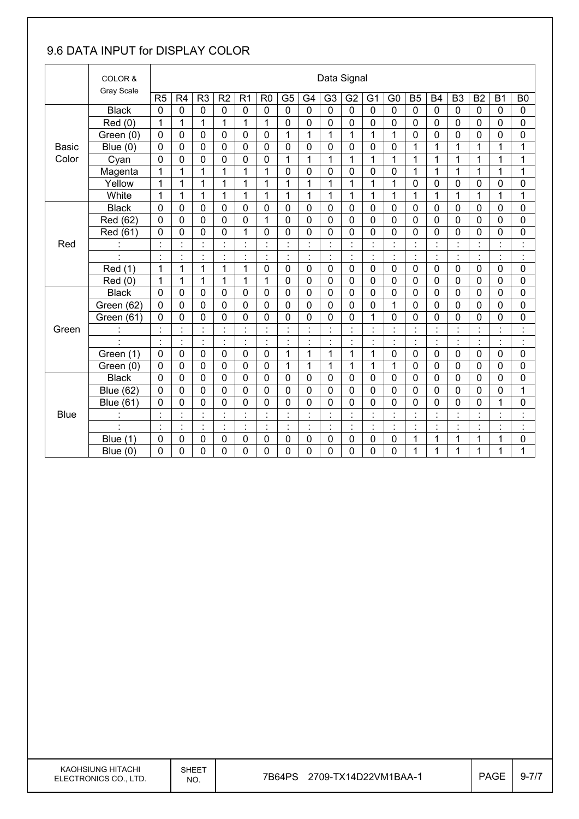## 9.6 DATA INPUT for DISPLAY COLOR

|              | COLOR &                  |                |                    |                             |                     |                                  |                |                |                | Data Signal          |                |                |                      |                             |                |                          |                             |                          |                      |
|--------------|--------------------------|----------------|--------------------|-----------------------------|---------------------|----------------------------------|----------------|----------------|----------------|----------------------|----------------|----------------|----------------------|-----------------------------|----------------|--------------------------|-----------------------------|--------------------------|----------------------|
|              | Gray Scale               | R <sub>5</sub> | R4                 | R <sub>3</sub>              | R2                  | R <sub>1</sub>                   | R <sub>0</sub> | G <sub>5</sub> | G4             | G <sub>3</sub>       | G <sub>2</sub> | G <sub>1</sub> | G <sub>0</sub>       | <b>B5</b>                   | <b>B4</b>      | B <sub>3</sub>           | <b>B2</b>                   | <b>B1</b>                | B <sub>0</sub>       |
|              | <b>Black</b>             | $\mathbf 0$    | 0                  | 0                           | $\mathbf 0$         | $\mathbf 0$                      | $\mathbf 0$    | $\mathbf 0$    | $\overline{0}$ | $\mathbf 0$          | $\mathbf 0$    | $\mathbf 0$    | $\mathbf 0$          | $\mathbf 0$                 | $\mathbf 0$    | $\mathbf 0$              | 0                           | $\mathbf 0$              | $\mathbf 0$          |
|              | Red(0)                   | 1              | $\mathbf{1}$       | 1                           | 1                   | 1                                | 1              | $\mathbf 0$    | $\mathbf 0$    | 0                    | 0              | 0              | 0                    | $\mathbf 0$                 | $\mathbf 0$    | $\mathbf 0$              | 0                           | $\mathbf 0$              | 0                    |
|              | Green (0)                | 0              | 0                  | 0                           | 0                   | 0                                | $\mathbf 0$    | 1              | $\mathbf 1$    | 1                    | 1              | 1              | 1                    | $\mathbf 0$                 | $\mathbf 0$    | $\mathbf 0$              | 0                           | 0                        | 0                    |
| <b>Basic</b> | Blue $(0)$               | $\overline{0}$ | 0                  | 0                           | 0                   | $\overline{0}$                   | $\mathbf 0$    | $\mathbf 0$    | $\mathbf 0$    | 0                    | $\mathbf 0$    | 0              | 0                    | 1                           | $\mathbf{1}$   | $\mathbf{1}$             | 1                           | 1                        | 1                    |
| Color        | Cyan                     | $\mathbf 0$    | 0                  | 0                           | $\mathbf 0$         | 0                                | 0              | 1              | 1              | 1                    | 1              | 1              | 1                    | 1                           | 1              | 1                        | 1                           | 1                        | 1                    |
|              | Magenta                  | 1              | 1                  | $\mathbf{1}$                | 1                   | 1                                | 1              | $\pmb{0}$      | $\mathbf 0$    | 0                    | 0              | 0              | $\mathbf 0$          | 1                           | 1              | $\mathbf{1}$             | 1                           | 1                        | 1                    |
|              | Yellow                   | $\overline{1}$ | $\mathbf{1}$       | $\mathbf{1}$                | 1                   | $\overline{1}$                   | 1              | $\mathbf{1}$   | $\mathbf 1$    | $\mathbf{1}$         | $\overline{1}$ | 1              | $\mathbf 1$          | 0                           | $\mathbf 0$    | $\mathbf 0$              | 0                           | 0                        | 0                    |
|              | White                    | 1              | 1                  | 1                           | 1                   | 1                                | 1              | 1              | 1              | 1                    | 1              | 1              | 1                    | 1                           | 1              | 1                        | 1                           | 1                        | 1                    |
|              | <b>Black</b>             | 0              | 0                  | 0                           | 0                   | 0                                | $\mathbf 0$    | 0              | 0              | 0                    | 0              | 0              | 0                    | 0                           | $\mathbf 0$    | 0                        | 0                           | 0                        | 0                    |
|              | Red (62)                 | $\overline{0}$ | 0                  | 0                           | 0                   | $\mathbf 0$                      | $\mathbf{1}$   | $\mathbf 0$    | $\mathbf 0$    | 0                    | $\overline{0}$ | 0              | $\overline{0}$       | $\mathbf 0$                 | $\overline{0}$ | $\mathbf 0$              | 0                           | 0                        | $\mathbf 0$          |
|              | Red (61)                 | 0              | 0                  | 0                           | 0                   | 1                                | $\mathbf 0$    | $\mathbf 0$    | $\mathbf 0$    | 0                    | 0              | 0              | 0                    | $\mathbf 0$                 | $\mathbf 0$    | $\mathbf 0$              | 0                           | 0                        | 0                    |
| Red          |                          | $\blacksquare$ | $\ddot{\cdot}$     | $\blacksquare$<br>ä.        | $\ddot{\cdot}$      | $\ddot{\cdot}$                   |                | $\ddot{\cdot}$ | $\blacksquare$ |                      |                |                | $\ddot{\cdot}$       | $\ddot{\phantom{a}}$        |                |                          |                             | $\cdot$                  | $\ddot{\cdot}$       |
|              |                          | $\blacksquare$ | $\cdot$<br>$\cdot$ | $\blacksquare$<br>$\bullet$ | $\cdot$<br>٠        | $\blacksquare$<br>$\blacksquare$ | $\blacksquare$ | $\ddot{\cdot}$ | $\blacksquare$ | $\blacksquare$<br>×, | $\cdot$<br>٠   | $\cdot$<br>×,  | $\cdot$<br>٠         | $\blacksquare$<br>$\bullet$ | $\ddot{\cdot}$ | $\overline{\phantom{a}}$ | $\blacksquare$<br>$\bullet$ | $\overline{\phantom{a}}$ | $\cdot$<br>٠         |
|              | Red (1)                  | 1              | 1                  | $\mathbf{1}$                | 1                   | $\mathbf{1}$                     | $\mathbf 0$    | $\mathbf 0$    | $\mathbf 0$    | $\overline{0}$       | $\mathbf 0$    | $\mathbf 0$    | $\overline{0}$       | $\mathbf 0$                 | $\mathbf 0$    | $\mathbf 0$              | $\mathbf 0$                 | 0                        | $\mathbf 0$          |
|              | Red (0)                  | 1              | 1                  | 1                           | 1                   | 1                                | 1              | $\mathbf 0$    | 0              | 0                    | 0              | 0              | 0                    | $\mathbf 0$                 | $\mathbf 0$    | $\mathbf 0$              | 0                           | 0                        | 0                    |
|              | <b>Black</b>             | 0              | 0                  | 0                           | 0                   | 0                                | $\mathbf 0$    | $\mathbf 0$    | $\mathbf 0$    | 0                    | $\mathbf 0$    | 0              | 0                    | $\mathbf 0$                 | $\mathbf 0$    | $\mathbf 0$              | 0                           | 0                        | 0                    |
|              | Green (62)               | $\mathbf 0$    | 0                  | $\mathbf 0$                 | 0                   | $\overline{0}$                   | $\overline{0}$ | 0              | $\overline{0}$ | 0                    | $\mathbf 0$    | 0              | $\mathbf{1}$         | $\mathbf 0$                 | $\overline{0}$ | $\mathbf 0$              | 0                           | $\overline{0}$           | 0                    |
|              | Green (61)               | 0              | 0                  | 0                           | 0                   | 0                                | $\mathbf 0$    | 0              | $\mathbf 0$    | 0                    | 0              | 1              | 0                    | $\mathbf 0$                 | 0              | $\overline{0}$           | 0                           | 0                        | 0                    |
| Green        |                          | t.             | Ì.                 | t                           | $\ddot{\cdot}$      | $\ddot{\phantom{a}}$             | $\blacksquare$ | $\ddot{\cdot}$ | $\ddot{\cdot}$ |                      | $\blacksquare$ | t.             | $\ddot{\phantom{a}}$ | $\ddot{\cdot}$              | $\cdot$        | Ì.                       | t,                          | $\ddot{\cdot}$           | $\ddot{\cdot}$       |
|              | $\overline{\phantom{a}}$ | ÷,             | Ì.                 | ċ,                          | Ì.                  | $\ddot{\cdot}$                   | $\ddot{\cdot}$ | Ì.             | Ì.             | $\ddot{\cdot}$       | ÷              | $\ddot{\cdot}$ | ł,                   | ċ                           | ċ              | ÷                        | ř,                          | $\ddot{\cdot}$           | $\ddot{\cdot}$       |
|              | Green (1)                | $\mathbf 0$    | 0                  | 0                           | $\mathbf 0$         | 0                                | $\mathbf 0$    | 1              | 1              | 1                    | 1              | 1              | 0                    | $\mathbf 0$                 | $\mathbf 0$    | $\mathbf 0$              | 0                           | 0                        | $\mathbf 0$          |
|              | Green (0)                | 0              | 0                  | 0                           | 0                   | 0                                | $\mathbf 0$    | 1              | 1              | 1                    | 1              | 1              | 1                    | $\mathbf 0$                 | $\mathbf 0$    | $\mathbf 0$              | 0                           | 0                        | 0                    |
|              | <b>Black</b>             | $\mathbf 0$    | 0                  | 0                           | 0                   | $\mathbf 0$                      | $\mathbf 0$    | $\mathbf 0$    | $\mathbf 0$    | 0                    | $\mathbf 0$    | 0              | 0                    | $\mathbf 0$                 | $\mathbf 0$    | $\mathbf 0$              | 0                           | 0                        | $\mathbf 0$          |
|              | <b>Blue (62)</b>         | $\mathbf 0$    | 0                  | 0                           | 0                   | 0                                | $\mathbf 0$    | $\mathbf 0$    | $\mathbf 0$    | 0                    | $\mathbf 0$    | 0              | 0                    | 0                           | $\mathbf 0$    | $\mathbf 0$              | 0                           | 0                        | 1                    |
|              | <b>Blue (61)</b>         | 0              | 0                  | 0                           | 0                   | 0                                | 0              | 0              | $\mathbf 0$    | 0                    | 0              | 0              | 0                    | 0                           | 0              | 0                        | 0                           | 1                        | 0                    |
| <b>Blue</b>  |                          | $\blacksquare$ | $\blacksquare$     | $\blacksquare$              | $\blacksquare$      | $\blacksquare$                   | $\cdot$        | $\blacksquare$ | $\cdot$        | $\blacksquare$       | $\cdot$        | $\cdot$        | $\blacksquare$<br>×, | $\blacksquare$              | $\cdot$        | $\cdot$                  | $\blacksquare$              | $\cdot$                  | $\cdot$<br>×,        |
|              |                          |                | Ì.                 | ä,<br>٠                     | $\blacksquare$<br>٠ | $\ddot{\cdot}$                   |                | ÷,             | t,             | $\cdot$<br>$\bullet$ |                | Ì.             | $\cdot$<br>$\bullet$ | ċ                           | $\cdot$        |                          | l,<br>$\blacksquare$        | $\cdot$<br>٠.            | $\cdot$<br>$\bullet$ |
|              | Blue $(1)$               | $\mathbf 0$    | 0                  | 0                           | 0                   | 0                                | 0              | $\mathbf 0$    | $\mathbf 0$    | 0                    | 0              | 0              | 0                    | 1                           | 1              | 1                        | 1                           | 1                        | 0                    |
|              | Blue $(0)$               | $\mathbf 0$    | 0                  | $\mathbf 0$                 | 0                   | 0                                | $\mathbf 0$    | 0              | $\overline{0}$ | 0                    | 0              | $\overline{0}$ | 0                    | $\mathbf{1}$                | 1              | 1                        | 1                           | $\mathbf{1}$             | 1                    |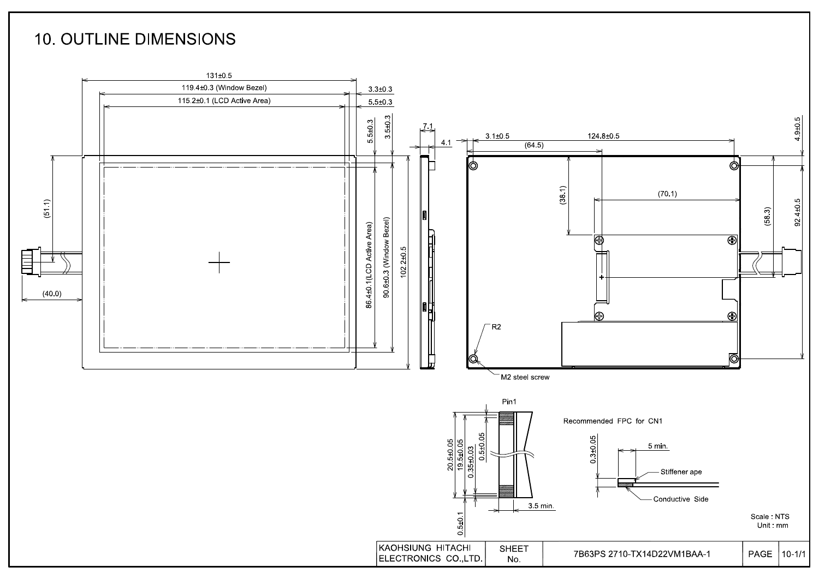## **10. OUTLINE DIMENSIONS**

![](_page_16_Figure_1.jpeg)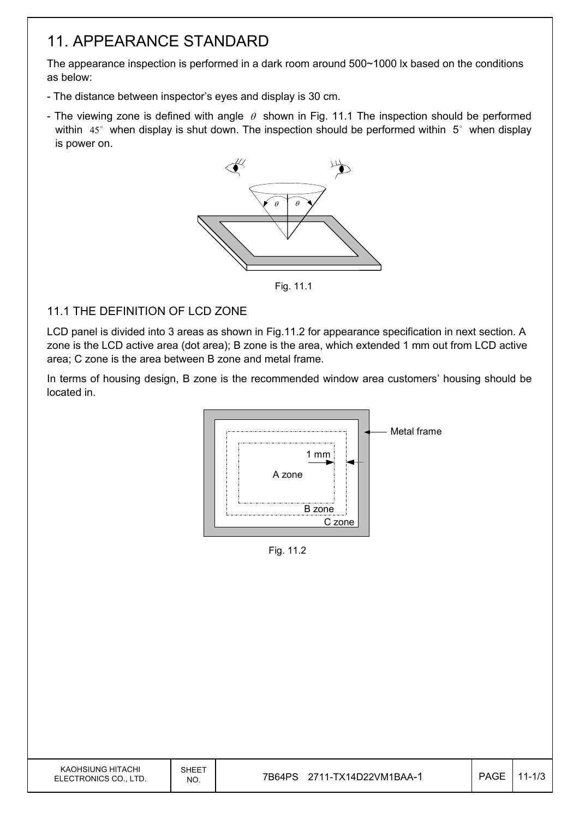## 11. APPEARANCE STANDARD

The appearance inspection is performed in a dark room around 500~1000 lx based on the conditions as below:

- The distance between inspector's eyes and display is 30 cm.
- The viewing zone is defined with angle  $\theta$  shown in Fig. 11.1 The inspection should be performed within  $45^\circ$  when display is shut down. The inspection should be performed within  $5^\circ$  when display is power on.

![](_page_17_Figure_4.jpeg)

Fig. 11.1

### 11.1 THE DEFINITION OF LCD ZONE

LCD panel is divided into 3 areas as shown in Fig.11.2 for appearance specification in next section. A zone is the LCD active area (dot area); B zone is the area, which extended 1 mm out from LCD active area; C zone is the area between B zone and metal frame.

In terms of housing design, B zone is the recommended window area customers' housing should be located in.

![](_page_17_Figure_9.jpeg)

Fig. 11.2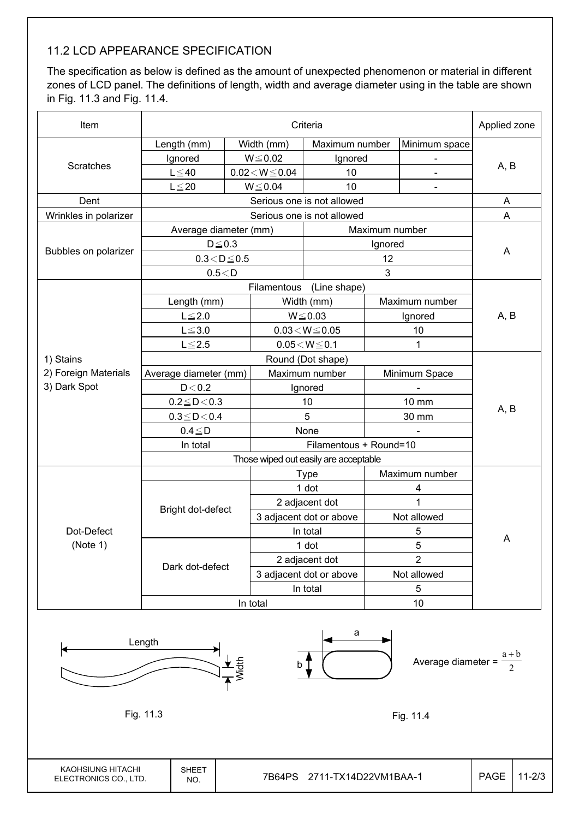### 11.2 LCD APPEARANCE SPECIFICATION

The specification as below is defined as the amount of unexpected phenomenon or material in different zones of LCD panel. The definitions of length, width and average diameter using in the table are shown in Fig. 11.3 and Fig. 11.4.

| Item                   |                                         | Applied zone |                              |                                        |                |                |      |  |
|------------------------|-----------------------------------------|--------------|------------------------------|----------------------------------------|----------------|----------------|------|--|
|                        | Length (mm)                             |              | Width (mm)                   | Maximum number                         |                | Minimum space  |      |  |
|                        | Ignored                                 |              | $W{\le}0.02$                 | Ignored                                |                |                |      |  |
| Scratches              | $L \leq 40$                             |              | $0.02\!<\!W\!\leq\!0.04$     | 10                                     |                |                | A, B |  |
|                        | $L \leq 20$                             |              | $W \le 0.04$                 | 10                                     |                | $\blacksquare$ |      |  |
| Dent                   |                                         |              |                              | Serious one is not allowed             |                |                | A    |  |
| Wrinkles in polarizer  |                                         |              |                              | Serious one is not allowed             |                |                | A    |  |
|                        | Average diameter (mm)<br>Maximum number |              |                              |                                        |                |                |      |  |
|                        | $D \leq 0.3$<br>Ignored                 |              |                              |                                        |                |                |      |  |
| Bubbles on polarizer   | $0.3\!<\!D\!\leq\!0.5$                  |              |                              |                                        | A              |                |      |  |
|                        | 0.5 < D                                 |              |                              |                                        | 3              |                |      |  |
|                        |                                         |              | Filamentous                  | (Line shape)                           |                |                |      |  |
|                        | Length (mm)                             |              |                              | Width (mm)                             |                | Maximum number |      |  |
|                        | $L \leq 2.0$                            |              | $W \le 0.03$                 |                                        | Ignored        |                | A, B |  |
|                        | $L \le 3.0$                             |              |                              | $0.03\!<\!W\!\leq\!0.05$               |                | 10             |      |  |
|                        | $L \le 2.5$                             |              | $0.05\!<\!W\!\leq\!0.1$<br>1 |                                        |                |                |      |  |
| 1) Stains              |                                         |              |                              |                                        |                |                |      |  |
| 2) Foreign Materials   | Average diameter (mm)                   |              |                              | Maximum number                         |                | Minimum Space  |      |  |
| 3) Dark Spot           | D < 0.2                                 |              |                              | Ignored                                |                |                |      |  |
|                        | $0.2 \le D < 0.3$                       |              |                              | 10                                     |                | 10 mm          | A, B |  |
|                        | $0.3 \le D < 0.4$                       |              |                              | 5                                      |                | 30 mm          |      |  |
|                        | $0.4 \leq D$                            |              | None                         |                                        |                |                |      |  |
|                        | In total                                |              |                              |                                        |                |                |      |  |
|                        |                                         |              |                              |                                        |                |                |      |  |
|                        | <b>Type</b>                             |              |                              |                                        |                | Maximum number |      |  |
|                        |                                         |              |                              | 1 dot                                  | 4              |                |      |  |
|                        | Bright dot-defect                       |              |                              | 2 adjacent dot                         | $\overline{1}$ |                |      |  |
| Dot-Defect<br>(Note 1) |                                         |              |                              | 3 adjacent dot or above<br>Not allowed |                |                |      |  |
|                        |                                         |              | In total                     |                                        | 5              |                | Α    |  |
|                        |                                         |              | 1 dot                        |                                        | 5              |                |      |  |
|                        | Dark dot-defect                         |              |                              | 2 adjacent dot                         | $\overline{2}$ |                |      |  |
|                        |                                         |              |                              | 3 adjacent dot or above                |                | Not allowed    |      |  |
|                        |                                         |              |                              | In total                               |                | 5              |      |  |
|                        | 10<br>In total                          |              |                              |                                        |                |                |      |  |

![](_page_18_Figure_3.jpeg)

KAOHSIUNG HITACHI ELECTRONICS CO., LTD.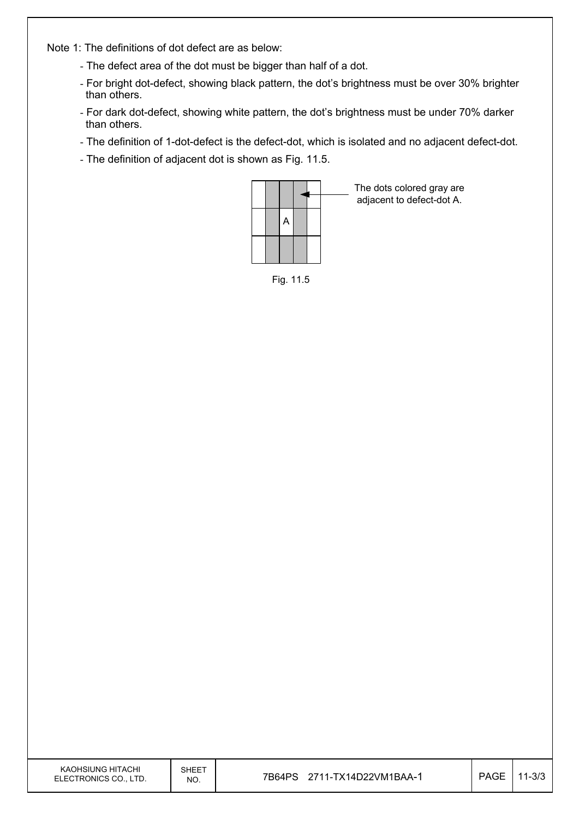Note 1: The definitions of dot defect are as below:

- The defect area of the dot must be bigger than half of a dot.
- For bright dot-defect, showing black pattern, the dot's brightness must be over 30% brighter than others.
- For dark dot-defect, showing white pattern, the dot's brightness must be under 70% darker than others.
- The definition of 1-dot-defect is the defect-dot, which is isolated and no adjacent defect-dot.
- The definition of adjacent dot is shown as Fig. 11.5.

![](_page_19_Figure_6.jpeg)

The dots colored gray are adjacent to defect-dot A.

Fig. 11.5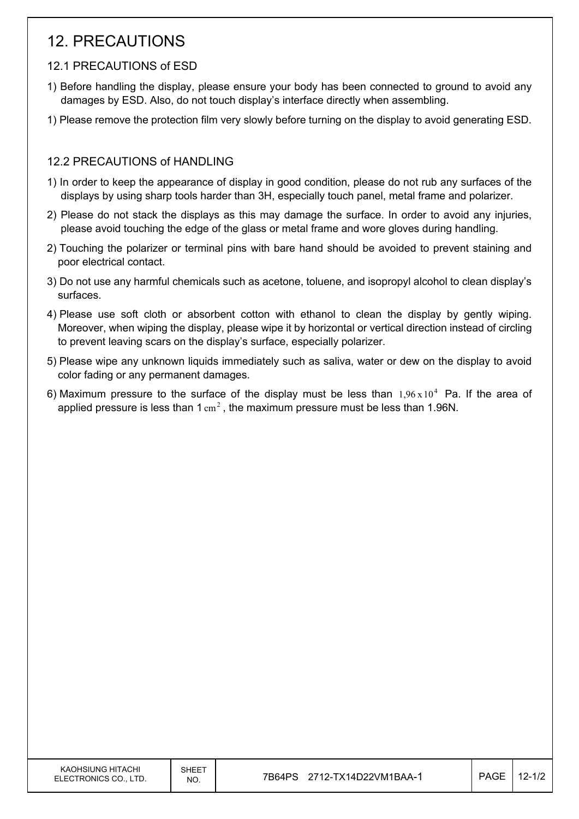## 12. PRECAUTIONS

### 12.1 PRECAUTIONS of ESD

- 1) Before handling the display, please ensure your body has been connected to ground to avoid any damages by ESD. Also, do not touch display's interface directly when assembling.
- 1) Please remove the protection film very slowly before turning on the display to avoid generating ESD.

### 12.2 PRECAUTIONS of HANDLING

- 1) In order to keep the appearance of display in good condition, please do not rub any surfaces of the displays by using sharp tools harder than 3H, especially touch panel, metal frame and polarizer.
- 2) Please do not stack the displays as this may damage the surface. In order to avoid any injuries, please avoid touching the edge of the glass or metal frame and wore gloves during handling.
- 2) Touching the polarizer or terminal pins with bare hand should be avoided to prevent staining and poor electrical contact.
- 3) Do not use any harmful chemicals such as acetone, toluene, and isopropyl alcohol to clean display's surfaces.
- 4) Please use soft cloth or absorbent cotton with ethanol to clean the display by gently wiping. Moreover, when wiping the display, please wipe it by horizontal or vertical direction instead of circling to prevent leaving scars on the display's surface, especially polarizer.
- 5) Please wipe any unknown liquids immediately such as saliva, water or dew on the display to avoid color fading or any permanent damages.
- 6) Maximum pressure to the surface of the display must be less than  $1.96 \times 10^4$  Pa. If the area of applied pressure is less than  $1 \text{ cm}^2$ , the maximum pressure must be less than 1.96N.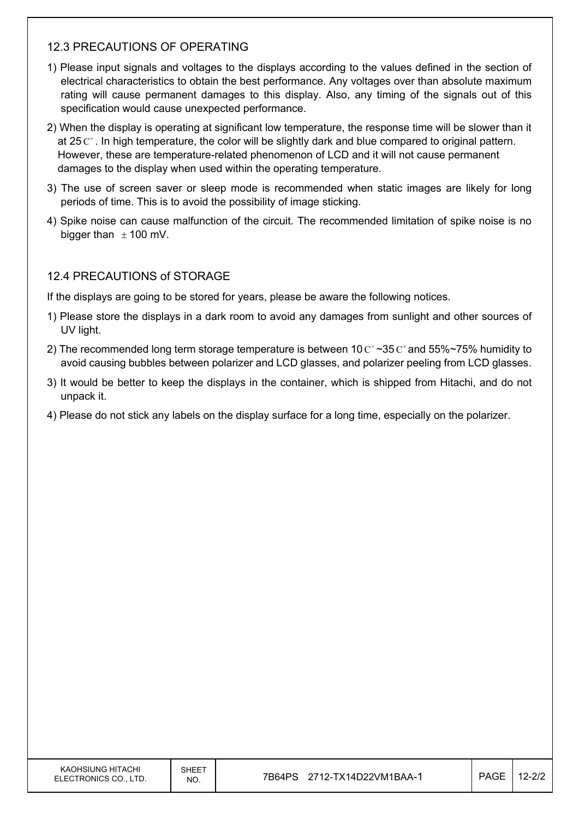### 12.3 PRECAUTIONS OF OPERATING

- 1) Please input signals and voltages to the displays according to the values defined in the section of electrical characteristics to obtain the best performance. Any voltages over than absolute maximum rating will cause permanent damages to this display. Also, any timing of the signals out of this specification would cause unexpected performance.
- 2) When the display is operating at significant low temperature, the response time will be slower than it at 25  $\mathrm{C}^{\circ}$ . In high temperature, the color will be slightly dark and blue compared to original pattern. However, these are temperature-related phenomenon of LCD and it will not cause permanent damages to the display when used within the operating temperature.
- 3) The use of screen saver or sleep mode is recommended when static images are likely for long periods of time. This is to avoid the possibility of image sticking.
- 4) Spike noise can cause malfunction of the circuit. The recommended limitation of spike noise is no bigger than  $\pm$  100 mV.

### 12.4 PRECAUTIONS of STORAGE

If the displays are going to be stored for years, please be aware the following notices.

- 1) Please store the displays in a dark room to avoid any damages from sunlight and other sources of UV light.
- 2) The recommended long term storage temperature is between 10  $\text{C}^{\circ} \sim 35 \text{ C}^{\circ}$  and 55%~75% humidity to avoid causing bubbles between polarizer and LCD glasses, and polarizer peeling from LCD glasses.
- 3) It would be better to keep the displays in the container, which is shipped from Hitachi, and do not unpack it.
- 4) Please do not stick any labels on the display surface for a long time, especially on the polarizer.